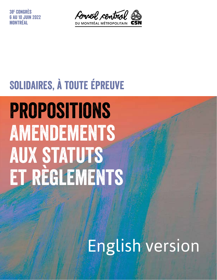38e Congrès 6 au 10 juin 2022 NTDÉAI



### Solidaires, à toute épreuve

# Propositions **AMENDEMENTS** AUX STATUTS et règlements

# English version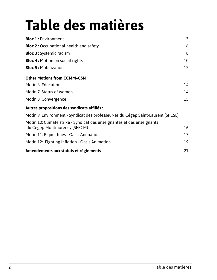## **Table des matières**

| <b>Bloc 1: Environment</b>                                                                              | $\overline{3}$ |
|---------------------------------------------------------------------------------------------------------|----------------|
| <b>Bloc 2: Occupational health and safety</b>                                                           | 6              |
| <b>Bloc 3: Systemic racism</b>                                                                          | 8              |
| <b>Bloc 4: Motion on social rights</b>                                                                  | 10             |
| <b>Bloc 5: Mobilization</b>                                                                             | 12             |
| <b>Other Motions from CCMM-CSN</b>                                                                      |                |
| Motin 6: Education                                                                                      | 14             |
| Motin 7: Status of women                                                                                | 14             |
| Motin 8: Convergence                                                                                    | 15             |
| Autres propositions des syndicats affiliés :                                                            |                |
| Motin 9: Environment - Syndicat des professeur-es du Cégep Saint-Laurent (SPCSL)                        |                |
| Motin 10: Climate strike - Syndicat des enseignantes et des enseignants<br>du Cégep Montmorency (SEECM) | 16             |
| Motin 11: Piquet lines - Oasis Animation                                                                | 17             |
| Motin 12: Fighting inflation - Oasis Animation                                                          | 19             |
| Amendements aux statuts et règlements                                                                   | 21             |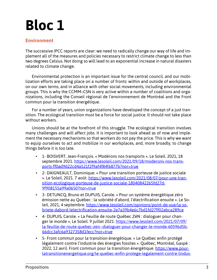#### **Environment**

The successive IPCC reports are clear: we need to radically change our way of life and implement all of the measures and policies necessary to restrict climate change to less than two degrees Celsius. Not doing so will lead to an exponential increase in natural disasters related to climate change.

Environmental protection is an important issue for the central council, and our mobilization efforts are taking place on a number of fronts: within and outside of workplaces, on our own terms, and in alliance with other social movements, including environmental groups. This is why the CCMM–CSN is very active within a number of coalitions and organizations, including the Conseil régional de l'environnement de Montréal and the Front commun pour la transition énergétique.

For a number of years, union organizations have developed the concept of a just transition. The ecological transition must be a force for social justice. It should not take place without workers.

Unions should be at the forefront of this struggle. The ecological transition involves many challenges and will affect jobs. It is important to look ahead as of now and implement the necessary mechanisms so that workers do not pay the price. This is why we want to equip ourselves to act and mobilize in our workplaces, and, more broadly, to change things before it is too late.

- 1- BOISVERT, Jean-François. « Modérons nos transports ». Le Soleil. 2021, 18 septembre 2021. https://www.lesoleil.com/2021/09/18/moderons-nos-transports-ff0ad9d22cd4a521f2f9af4f84f6877b?nor=true
- 2- DAIGNEAULT, Dominique. « Pour une transition porteuse de justice sociale ». Le Soleil, 2021. 7 août. https://www.lesoleil.com/2021/08/07/pour-une-transition-ecologique-porteuse-de-justice-sociale-18040842265fd27d-9f908155a99a0650?nor=true
- 3- DETUNCQ, Bruno et DUPUIS, Carole. « Pour un système énergétique zéro émission nette au Québec : la sobriété d'abord, l'électrification ensuite ». Le Soleil, 2021, 4 septembre. https://www.lesoleil.com/opinions/point-de-vue/la-sobriete-dabord-lelectrification-ensuite-2e7a39b4e6c7bd1fd27ff02abca289ce
- 4- DUPUIS, Carole. « La Feuille de route Québec ZéN : dialoguer pour changer le monde », Le Soleil. 9 juillet 2021. https://www.lesoleil.com/2021/07/09/ la-feuille-de-route-quebec-zen--dialoguer-pour-changer-le-monde-60596d5b-66dcc3afc6a9327358d1fecc?nor=true
- 5- Front commun pour la transition énergétique. « Le Québec enfin protégé légalement contre l'industrie des énergies fossiles ». Québec, Montréal, Gaspé : 2022, 12 avril. Front commun pour la transition énergétique. https://www.pourlatransitionenergetique.org/le-quebec-enfin-protege-legalement-contre-lindus-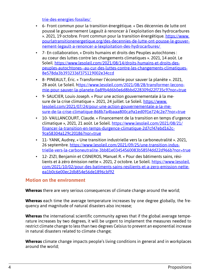trie-des-energies-fossiles/

- 6- Front commun pour la transition énergétique. « Des décennies de lutte ont poussé le gouvernement Legault à renoncer à l'exploitation des hydrocarbures ». 2021, 19 octobre. Front commun pour la transition énergétique. https://www. pourlatransitionenergetique.org/des-decennies-de-lutte-ont-pousse-le-gouvernement-legault-a-renoncer-a-lexploitation-des-hydrocarbures/
- 7- En collaboration, « Droits humains et droits des Peuples autochtones : au coeur des luttes contre les changements climatiques ». 2021, 14 août. Le Soleil. https://www.lesoleil.com/2021/08/14/droits-humains-et-droits-despeuples-autochtones--au-cur-des-luttes-contre-les-changements-climatiques-8e578da3b3932336f375119002e34ccd
- 8- PINEAULT, Éric. « Transformer l'économie pour sauver la planète ». 2021, 28 août. Le Soleil. https://www.lesoleil.com/2021/08/28/transformer-leconomie-pour-sauver-la-planete-0a89b4d6b0e6d8bbd228309d22f735c9?nor=true
- 9- SAUCIER, Louis-Joseph. « Pour une action gouvernementale à la mesure de la crise climatique ». 2021, 24 juillet. Le Soleil. https://www. lesoleil.com/2021/07/24/pour-une-action-gouvernementale-a-la-mesure-de-la-crise-climatique-868b7a4baaa800ca9a1ed091e724c2e7?nor=true
- 10- VAILLANCOURT, Claude. « Financement de la transition en temps d'urgence climatique », 2021, 21 août. Le Soleil. https://www.lesoleil.com/2021/08/21/ financer-la-transition-en-temps-durgence-climatique-2d7cf47ebd162c-9ce58304a129c20186?nor=true
- 11- YANK, Audrey, « Une transition industrielle vers la carboneutralité ». 2021, 26 septembre. https://www.lesoleil.com/2021/09/25/une-transition-industrielle-vers-la-carboneutralite-3bb81e03454560083b585f4dd22d966b?nor=true
- 12- ZIZI, Benjamin et CISNEROS, Manuel R. « Pour des bâtiments sains, résilients et à zéro émission nette ». 2021, 2 octobre. Le Soleil. https://www.lesoleil. com/2021/10/02/pour-des-batiments-sains-resilients-et-a-zero-emission-netteea1b0c6e00ec2db854e56de1896cbf92

#### **Motion on the environment**

**Whereas** there are very serious consequences of climate change around the world;

**Whereas** each time the average temperature increases by one degree globally, the frequency and magnitude of natural disasters also increase;

**Whereas** the international scientific community agrees that if the global average temperature increases by two degrees, it will be urgent to implement the measures needed to restrict climate change to less than two degrees Celsius to prevent an exponential increase in natural disasters related to climate change;

**Whereas** climate change impacts people's living conditions in general and in workplaces around the world;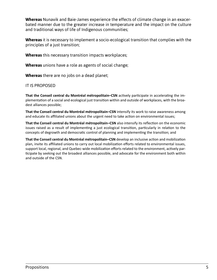**Whereas** Nunavik and Baie-James experience the effects of climate change in an exacerbated manner due to the greater increase in temperature and the impact on the culture and traditional ways of life of Indigenous communities;

**Whereas** it is necessary to implement a socio-ecological transition that complies with the principles of a just transition;

**Whereas** this necessary transition impacts workplaces;

**Whereas** unions have a role as agents of social change;

**Whereas** there are no jobs on a dead planet;

#### IT IS PROPOSED

**That the Conseil central du Montréal métropolitain–CSN** actively participate in accelerating the implementation of a social and ecological just transition within and outside of workplaces, with the broadest alliances possible;

**That the Conseil central du Montréal métropolitain–CSN** intensify its work to raise awareness among and educate its affiliated unions about the urgent need to take action on environmental issues;

**That the Conseil central du Montréal métropolitain–CSN** also intensify its reflection on the economic issues raised as a result of implementing a just ecological transition, particularly in relation to the concepts of degrowth and democratic control of planning and implementing the transition; and

**That the Conseil central du Montréal métropolitain–CSN** develop an inclusive action and mobilization plan, invite its affiliated unions to carry out local mobilization efforts related to environmental issues, support local, regional, and Quebec-wide mobilization efforts related to the environment, actively participate by seeking out the broadest alliances possible, and advocate for the environment both within and outside of the CSN.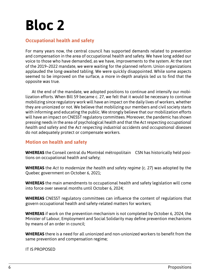### **Occupational health and safety**

For many years now, the central council has supported demands related to prevention and compensation in the area of occupational health and safety. We have long added our voice to those who have demanded, as we have, improvements to the system. At the start of the 2019–2022 mandate, we were waiting for the planned reform. Union organizations applauded the long-awaited tabling. We were quickly disappointed. While some aspects seemed to be improved on the surface, a more in-depth analysis led us to find that the opposite was true.

At the end of the mandate, we adopted positions to continue and intensify our mobilization efforts. When Bill 59 became c. 27, we felt that it would be necessary to continue mobilizing since regulatory work will have an impact on the daily lives of workers, whether they are unionized or not. We believe that mobilizing our members and civil society starts with informing and educating the public. We strongly believe that our mobilization efforts will have an impact on CNESST regulatory committees. Moreover, the pandemic has shown pressing needs in the area of psychological health and that the *Act respecting occupational health and safety* and the *Act respecting industrial accidents and occupational diseases* do not adequately protect or compensate workers.

#### **Motion on health and safety**

**WHEREAS** the Conseil central du Montréal métropolitain‒CSN has historically held positions on occupational health and safety;

**WHEREAS** the *Act to modernize the health and safety regime* (c. 27) was adopted by the Quebec government on October 6, 2021;

**WHEREAS** the main amendments to occupational health and safety legislation will come into force over several months until October 6, 2024;

**WHEREAS** CNESST regulatory committees can influence the content of regulations that govern occupational health and safety-related matters for workers;

**WHEREAS** if work on the prevention mechanism is not completed by October 6, 2024, the Minister of Labour, Employment and Social Solidarity may define prevention mechanisms by means of an order in council;

**WHEREAS** there is a need for all unionized and non-unionized workers to benefit from the same prevention and compensation regime;

IT IS PROPOSED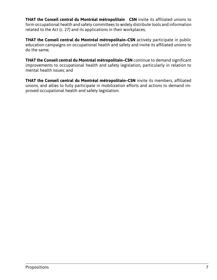**THAT the Conseil central du Montréal métropolitain‒CSN** invite its affiliated unions to form occupational health and safety committees to widely distribute tools and information related to the Act (c. 27) and its applications in their workplaces;

**THAT the Conseil central du Montréal métropolitain–CSN** actively participate in public education campaigns on occupational health and safety and invite its affiliated unions to do the same;

**THAT the Conseil central du Montréal métropolitain–CSN** continue to demand significant improvements to occupational health and safety legislation, particularly in relation to mental health issues; and

**THAT the Conseil central du Montréal métropolitain–CSN** invite its members, affiliated unions, and allies to fully participate in mobilization efforts and actions to demand improved occupational health and safety legislation.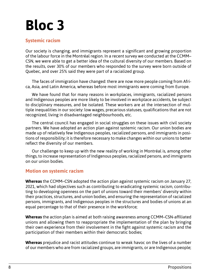#### **Systemic racism**

Our society is changing, and immigrants represent a significant and growing proportion of the labour force in the Montréal region. In a recent survey we conducted at the CCMM– CSN, we were able to get a better idea of the cultural diversity of our members. Based on the results, over 30% of our members who responded to the survey were born outside of Quebec, and over 25% said they were part of a racialized group.

The faces of immigration have changed: there are now more people coming from Africa, Asia, and Latin America, whereas before most immigrants were coming from Europe.

We have found that for many reasons in workplaces, immigrants, racialized persons and Indigenous peoples are more likely to be involved in workplace accidents, be subject to disciplinary measures, and be isolated. These workers are at the intersection of multiple inequalities in our society: low wages, precarious statuses, qualifications that are not recognized, living in disadvantaged neighbourhoods, etc.

The central council has engaged in social struggles on these issues with civil society partners. We have adopted an action plan against systemic racism. Our union bodies are made up of relatively few Indigenous peoples, racialized persons, and immigrants in positions of responsibility; it is therefore necessary to make changes within our unions to better reflect the diversity of our members.

Our challenge to keep up with the new reality of working in Montréal is, among other things, to increase representation of Indigenous peoples, racialized persons, and immigrants on our union bodies.

#### **Motion on systemic racism**

**Whereas** the CCMM–CSN adopted the action plan against systemic racism on January 27, 2021, which had objectives such as contributing to eradicating systemic racism, contributing to developing openness on the part of unions toward their members' diversity within their practices, structures, and union bodies, and ensuring the representation of racialized persons, immigrants, and Indigenous peoples in the structures and bodies of unions at an equal percentage to that of their presence in the workforce;

**Whereas** the action plan is aimed at both raising awareness among CCMM–CSN-affiliated unions and allowing them to reappropriate the implementation of the plan by bringing their own experience from their involvement in the fight against systemic racism and the participation of their members within their democratic bodies;

**Whereas** prejudice and racist attitudes continue to wreak havoc on the lives of a number of our members who are from racialized groups, are immigrants, or are Indigenous people;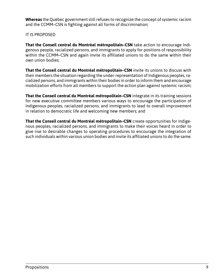**Whereas** the Quebec government still refuses to recognize the concept of systemic racism and the CCMM–CSN is fighting against all forms of discrimination;

IT IS PROPOSED

**That the Conseil central du Montréal métropolitain–CSN** take action to encourage Indigenous people, racialized persons, and immigrants to apply for positions of responsibility within the CCMM–CSN and again invite its affiliated unions to do the same within their own union bodies;

**That the Conseil central du Montréal métropolitain–CSN** invite its unions to discuss with their members the situation regarding the under-representation of Indigenous peoples, racialized persons, and immigrants within their bodies in order to inform them and encourage mobilization efforts from all members to support the action plan against systemic racism;

**That the Conseil central du Montréal métropolitain–CSN** integrate in its training sessions for new executive committee members various ways to encourage the participation of Indigenous peoples, racialized persons, and immigrants to lead to overall improvement in relation to democratic life and welcoming new members; and

**That the Conseil central du Montréal métropolitain–CSN** create opportunities for Indigenous peoples, racialized persons, and immigrants to make their voices heard in order to give rise to desirable changes to operating procedures to encourage the integration of such individuals within various union bodies and invite its affiliated unions to do the same.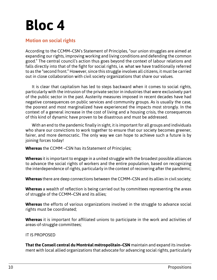#### **Motion on social rights**

According to the CCMM–CSN's Statement of Principles, "our union struggles are aimed at expanding our rights, improving working and living conditions and defending the common good." The central council's action thus goes beyond the context of labour relations and falls directly into that of the fight for social rights, i.e. what we have traditionally referred to as the "second front." However, since this struggle involves all citizens, it must be carried out in close collaboration with civil society organizations that share our values.

It is clear that capitalism has led to steps backward when it comes to social rights, particularly with the intrusion of the private sector in industries that were exclusively part of the public sector in the past. Austerity measures imposed in recent decades have had negative consequences on public services and community groups. As is usually the case, the poorest and most marginalized have experienced the impacts most strongly. In the context of a general increase in the cost of living and a housing crisis, the consequences of this kind of dynamic have proven to be disastrous and must be addressed.

With an end to the pandemic finally in sight, it is important for all groups and individuals who share our convictions to work together to ensure that our society becomes greener, fairer, and more democratic. The only way we can hope to achieve such a future is by joining forces today!

**Whereas** the CCMM –CSN has its Statement of Principles;

**Whereas** it is important to engage in a united struggle with the broadest possible alliances to advance the social rights of workers and the entire population, based on recognizing the interdependence of rights, particularly in the context of recovering after the pandemic;

**Whereas** there are deep connections between the CCMM–CSN and its allies in civil society;

**Whereas** a wealth of reflection is being carried out by committees representing the areas of struggle of the CCMM–CSN and its allies;

**Whereas** the efforts of various organizations involved in the struggle to advance social rights must be coordinated;

**Whereas** it is important for affiliated unions to participate in the work and activities of areas-of-struggle committees;

IT IS PROPOSED

**That the Conseil central du Montréal métropolitain–CSN** maintain and expand its involvement with local allied organizations that advocate for advancing social rights, particularly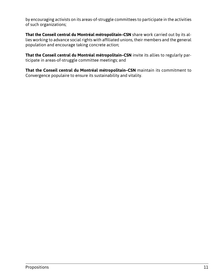by encouraging activists on its areas-of-struggle committees to participate in the activities of such organizations;

**That the Conseil central du Montréal métropolitain–CSN** share work carried out by its allies working to advance social rights with affiliated unions, their members and the general population and encourage taking concrete action;

**That the Conseil central du Montréal métropolitain–CSN** invite its allies to regularly participate in areas-of-struggle committee meetings; and

**That the Conseil central du Montréal métropolitain–CSN** maintain its commitment to Convergence populaire to ensure its sustainability and vitality.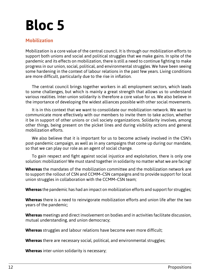#### **Mobilization**

Mobilization is a core value of the central council. It is through our mobilization efforts to support both unions and social and political struggles that we make gains. In spite of the pandemic and its effects on mobilization, there is still a need to continue fighting to make progress in our union, social, political, and environmental struggles. We have been seeing some hardening in the context of labour relations in the past few years. Living conditions are more difficult, particularly due to the rise in inflation.

The central council brings together workers in all employment sectors, which leads to some challenges, but which is mainly a great strength that allows us to understand various realities. Inter-union solidarity is therefore a core value for us. We also believe in the importance of developing the widest alliances possible with other social movements.

It is in this context that we want to consolidate our mobilization network. We want to communicate more effectively with our members to invite them to take action, whether it be in support of other unions or civil society organizations. Solidarity involves, among other things, being present on the picket lines and during visibility actions and general mobilization efforts.

We also believe that it is important for us to become actively involved in the CSN's post-pandemic campaign, as well as in any campaigns that come up during our mandate, so that we can play our role as an agent of social change.

To gain respect and fight against social injustice and exploitation, there is only one solution: mobilization! We must stand together in solidarity no matter what we are facing!

**Whereas** the mandates of the mobilization committee and the mobilization network are to support the rollout of CSN and CCMM–CSN campaigns and to provide support for local union struggles in collaboration with the CCMM–CSN team;

**Whereas** the pandemic has had an impact on mobilization efforts and support for struggles;

**Whereas** there is a need to reinvigorate mobilization efforts and union life after the two years of the pandemic;

**Whereas** meetings and direct involvement on bodies and in activities facilitate discussion, mutual understanding, and union democracy;

**Whereas** struggles and labour relations have become even more difficult;

**Whereas** there are necessary social, political, and environmental struggles;

**Whereas** inter-union solidarity is necessary;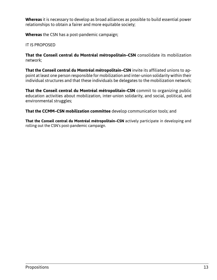**Whereas** it is necessary to develop as broad alliances as possible to build essential power relationships to obtain a fairer and more equitable society;

**Whereas** the CSN has a post-pandemic campaign;

IT IS PROPOSED

**That the Conseil central du Montréal métropolitain–CSN** consolidate its mobilization network;

**That the Conseil central du Montréal métropolitain–CSN** invite its affiliated unions to appoint at least one person responsible for mobilization and inter-union solidarity within their individual structures and that these individuals be delegates to the mobilization network;

**That the Conseil central du Montréal métropolitain–CSN** commit to organizing public education activities about mobilization, inter-union solidarity, and social, political, and environmental struggles;

**That the CCMM–CSN mobilization committee** develop communication tools; and

**That the Conseil central du Montréal métropolitain–CSN** actively participate in developing and rolling out the CSN's post-pandemic campaign.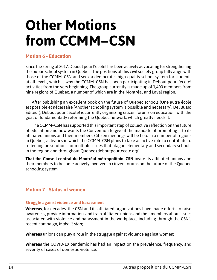### **Other Motions from CCMM–CSN**

#### **Motion 6 - Education**

Since the spring of 2017, Debout pour l'école! has been actively advocating for strengthening the public school system in Quebec. The positions of this civil society group fully align with those of the CCMM–CSN and seek a democratic, high-quality school system for students at all levels, which is why the CCMM–CSN has been participating in Debout pour l'école! activities from the very beginning. The group currently is made up of 1,400 members from nine regions of Quebec, a number of which are in the Montréal and Laval region.

After publishing an excellent book on the future of Quebec schools (Une autre école est possible et nécessaire [Another schooling system is possible and necessary], Del Busso Éditeur), Debout pour l'école! is currently organizing citizen forums on education, with the goal of fundamentally reforming the Quebec network, which greatly needs it.

The CCMM–CSN has supported this important step of collective reflection on the future of education and now wants the Convention to give it the mandate of promoting it to its affiliated unions and their members. Citizen meetings will be held in a number of regions in Quebec, activities in which the CCMM–CSN plans to take an active role to contribute to reflecting on solutions for multiple issues that plague elementary and secondary schools in the region and throughout Quebec (deboutpourlecole.org).

**That the Conseil central du Montréal métropolitain–CSN** invite its affiliated unions and their members to become actively involved in citizen forums on the future of the Quebec schooling system.

#### **Motion 7 - Status of women**

#### **Struggle against violence and harassment**

**Whereas**, for decades, the CSN and its affiliated organizations have made efforts to raise awareness, provide information, and train affiliated unions and their members about issues associated with violence and harassment in the workplace, including through the CSN's recent campaign, *Make it stop*;

**Whereas** unions can play a role in the struggle against violence against women;

**Whereas** the COVID-19 pandemic has had an impact on the prevalence, frequency, and severity of cases of domestic violence;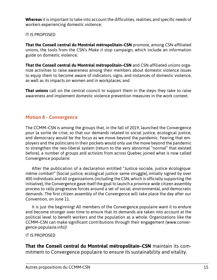**Whereas** it is important to take into account the difficulties, realities, and specific needs of workers experiencing domestic violence;

IT IS PROPOSED

**That the Conseil central du Montréal métropolitain–CSN** promote, among CSN-affiliated unions, the tools from the CSN's *Make it stop* campaign, which include an information guide on domestic violence;

**That the Conseil central du Montréal métropolitain–CSN** and CSN-affiliated unions organize activities to raise awareness among their members about domestic violence issues to equip them to become aware of indicators, signs, and instances of domestic violence, as well as its impacts on women and in workplaces; and

**That unions** call on the central council to support them in the steps they take to raise awareness and implement domestic violence prevention measures in the work context.

#### **Motion 8 - Convergence**

The CCMM–CSN is among the groups that, in the fall of 2019, launched the Convergence pour la sortie de crise, so that our demands related to social justice, ecological justice, and democracy would be the focus as we move beyond the pandemic. Fearing that employers and the politicians in their pockets would only use the move beyond the pandemic to strengthen the neo-liberal system (return to the very abnormal "normal" that existed before), a number of groups and activists from across Quebec joined what is now called Convergence populaire.

After the publication of a declaration entitled "Justice sociale, justice écologique: même combat!" [Social justice, ecological justice: same struggle],initially signed by over 400 individuals and 60 organizations (including the CSN, which is officially supporting the initiative), the Convergence gave itself the goal to launch a province-wide citizen assembly process to rally progressive forces around a set of social, environmental, and democratic demands. The first citizen assembly of the Convergence will take place the day after our Convention, on June 11.

It is just the beginning! All members of the Convergence populaire want it to endure and become stronger over time to ensure that its demands are taken into account at the political level to benefit workers and the population as a whole. Organizations like the CCMM–CSN can make significant contributions through their engagement (www.convergence-populaire.info)!

IT IS PROPOSED

**That the Conseil central du Montréal métropolitain–CSN** maintain its commitment to Convergence populaire to ensure its sustainability and vitality.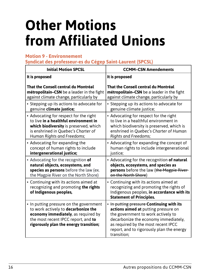### **Other Motions from Affiliated Unions**

#### **Motion 9 - Environnement**

**Syndicat des professeur-es du Cégep Saint-Laurent (SPCSL)**

| <b>Initial Motion SPCSL</b>                                                                                                                                                                            | <b>CCMM-CSN Amendements</b>                                                                                                                                                                                                                                        |  |
|--------------------------------------------------------------------------------------------------------------------------------------------------------------------------------------------------------|--------------------------------------------------------------------------------------------------------------------------------------------------------------------------------------------------------------------------------------------------------------------|--|
| It is proposed                                                                                                                                                                                         | It is proposed                                                                                                                                                                                                                                                     |  |
| That the Conseil central du Montréal                                                                                                                                                                   | That the Conseil central du Montréal                                                                                                                                                                                                                               |  |
| métropolitain-CSN be a leader in the fight                                                                                                                                                             | métropolitain-CSN be a leader in the fight                                                                                                                                                                                                                         |  |
| against climate change, particularly by                                                                                                                                                                | against climate change, particularly by                                                                                                                                                                                                                            |  |
| • Stepping up its actions to advocate for                                                                                                                                                              | • Stepping up its actions to advocate for                                                                                                                                                                                                                          |  |
| genuine climate justice;                                                                                                                                                                               | genuine climate justice;                                                                                                                                                                                                                                           |  |
| • Advocating for respect for the right                                                                                                                                                                 | • Advocating for respect for the right                                                                                                                                                                                                                             |  |
| to live in a healthful environment in                                                                                                                                                                  | to live in a healthful environment in                                                                                                                                                                                                                              |  |
| which biodiversity is preserved, which                                                                                                                                                                 | which biodiversity is preserved, which is                                                                                                                                                                                                                          |  |
| is enshrined in Quebec's Charter of                                                                                                                                                                    | enshrined in Quebec's Charter of Human                                                                                                                                                                                                                             |  |
| Human Rights and Freedoms;                                                                                                                                                                             | <b>Rights and Freedoms;</b>                                                                                                                                                                                                                                        |  |
| • Advocating for expanding the                                                                                                                                                                         | • Advocating for expanding the concept of                                                                                                                                                                                                                          |  |
| concept of human rights to include                                                                                                                                                                     | human rights to include intergenerational                                                                                                                                                                                                                          |  |
| intergenerational justice;                                                                                                                                                                             | justice;                                                                                                                                                                                                                                                           |  |
| • Advocating for the recognition of                                                                                                                                                                    | • Advocating for the recognition of natural                                                                                                                                                                                                                        |  |
| natural objects, ecosystems, and                                                                                                                                                                       | objects, ecosystems, and species as                                                                                                                                                                                                                                |  |
| species as persons before the law (ex.                                                                                                                                                                 | persons before the law (the Magpie River-                                                                                                                                                                                                                          |  |
| the Magpie River on the North Shore)                                                                                                                                                                   | on the North Shore)                                                                                                                                                                                                                                                |  |
| • Continuing with its actions aimed at<br>recognizing and promoting the rights<br>of Indigenous peoples,                                                                                               | • Continuing with its actions aimed at<br>recognizing and promoting the rights of<br>Indigenous peoples, in accordance with its<br><b>Statement of Principles.</b>                                                                                                 |  |
| • In putting pressure on the government<br>to work actively to decarbonize the<br>economy immediately, as required by<br>the most recent IPCC report, and to<br>rigorously plan the energy transition; | • In putting pressure Continuing with its<br>actions aimed at putting pressure on<br>the government to work actively to<br>decarbonize the economy immediately,<br>as required by the most recent IPCC<br>report, and to rigorously plan the energy<br>transition; |  |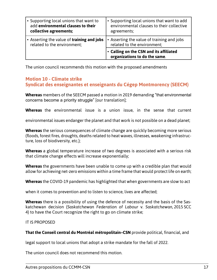| • Supporting local unions that want to     | • Supporting local unions that want to add                               |
|--------------------------------------------|--------------------------------------------------------------------------|
| add environmental clauses to their         | environmental clauses to their collective                                |
| collective agreements;                     | agreements;                                                              |
| • Asserting the value of training and jobs | • Asserting the value of training and jobs                               |
| related to the environment;                | related to the environment;                                              |
|                                            | • Calling on the CSN and its affiliated<br>organizations to do the same. |

The union council recommends this motion with the proposed amendments

#### **Motion 10 - Climate strike Syndicat des enseignantes et enseignants du Cégep Montmorency (SEECM)**

**Whereas** members of the SEECM passed a motion in 2019 demanding "that environmental concerns become a priority struggle" [our translation];

**Whereas** the environmental issue is a union issue, in the sense that current

environmental issues endanger the planet and that work is not possible on a dead planet;

**Whereas** the serious consequences of climate change are quickly becoming more serious (floods, forest fires, droughts, deaths related to heat waves, illnesses, weakening infrastructure, loss of biodiversity, etc.);

**Whereas** a global temperature increase of two degrees is associated with a serious risk that climate change effects will increase exponentially;

**Whereas** the governments have been unable to come up with a credible plan that would allow for achieving net-zero emissions within a time frame that would protect life on earth;

**Whereas** the COVID-19 pandemic has highlighted that when governments are slow to act

when it comes to prevention and to listen to science, lives are affected;

**Whereas** there is a possibility of using the defence of necessity and the basis of the Saskatchewan decision (*Saskatchewan Federation of Labour* v. *Saskatchewan*, 2015 SCC 4) to have the Court recognize the right to go on climate strike;

IT IS PROPOSED

**That the Conseil central du Montréal métropolitain–CSN** provide political, financial, and

legal support to local unions that adopt a strike mandate for the fall of 2022.

The union council does not recommend this motion.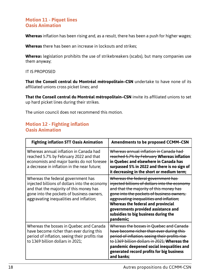#### **Motion 11 - Piquet lines Oasis Animation**

**Whereas** inflation has been rising and, as a result, there has been a push for higher wages;

**Whereas** there has been an increase in lockouts and strikes;

**Wherea**s legislation prohibits the use of strikebreakers (scabs), but many companies use them anyway;

IT IS PROPOSED

**That the Conseil central du Montréal métropolitain–CSN** undertake to have none of its affiliated unions cross picket lines; and

**That the Conseil central du Montréal métropolitain–CSN** invite its affiliated unions to set up hard picket lines during their strikes.

The union council does not recommend this motion.

#### **Motion 12 - Fighting inflation Oasis Animation**

| <b>Fighting inflation STT Oasis Animation</b>                                                                                                                                                                          | <b>Amendments to be proposed CCMM-CSN</b>                                                                                                                                                                                                                                                                                                                       |
|------------------------------------------------------------------------------------------------------------------------------------------------------------------------------------------------------------------------|-----------------------------------------------------------------------------------------------------------------------------------------------------------------------------------------------------------------------------------------------------------------------------------------------------------------------------------------------------------------|
| Whereas annual inflation in Canada had<br>reached 5.7% by February 2022 and that<br>economists and major banks do not foresee<br>a decrease in inflation in the near future;                                           | Whereas annual inflation in Canada had-<br>reached 5.7% by February Whereas inflation<br>in Quebec and elsewhere in Canada has<br>surpassed 5% in 2022 and there is no sign of<br>it decreasing in the short or medium term;                                                                                                                                    |
| Whereas the federal government has<br>injected billions of dollars into the economy<br>and that the majority of this money has<br>gone into the pockets of business owners,<br>aggravating inequalities and inflation; | Whereas the federal government has<br>injected billions of dollars into the economy<br>and that the majority of this money has<br>gone into the pockets of business owners,<br>aggravating inequalities and inflation;<br><b>Whereas the federal and provincial</b><br>governments provided assistance and<br>subsidies to big business during the<br>pandemic; |
| Whereas the bosses in Quebec and Canada<br>have become richer than ever during this<br>period of inflation, seeing their profits rise<br>to 1369 billion dollars in 2021;                                              | Whereas the bosses in Quebec and Canada-<br>have become richer than ever during this<br>period of inflation, seeing their profits rise<br>to 1369 billion dollars in 2021; Whereas the<br>pandemic deepened social inequalities and<br>generated record profits for big business<br>and banks;                                                                  |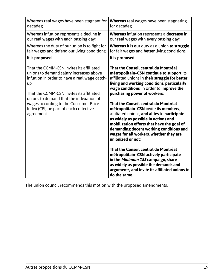| Whereas real wages have been stagnant for                                                     | <b>Whereas</b> real wages have been stagnating                                                                                                                                                                                                                                                                                 |
|-----------------------------------------------------------------------------------------------|--------------------------------------------------------------------------------------------------------------------------------------------------------------------------------------------------------------------------------------------------------------------------------------------------------------------------------|
| decades;                                                                                      | for decades;                                                                                                                                                                                                                                                                                                                   |
| Whereas inflation represents a decline in                                                     | <b>Whereas</b> inflation represents a <b>decrease</b> in                                                                                                                                                                                                                                                                       |
| our real wages with each passing day;                                                         | our real wages with every passing day;                                                                                                                                                                                                                                                                                         |
| Whereas the duty of our union is to fight for                                                 | Whereas it is our duty as a union to struggle                                                                                                                                                                                                                                                                                  |
| fair wages and defend our living conditions;                                                  | for fair wages and <b>better</b> living conditions;                                                                                                                                                                                                                                                                            |
| It is proposed                                                                                | It is proposed                                                                                                                                                                                                                                                                                                                 |
| That the CCMM-CSN invites its affiliated                                                      | That the Conseil central du Montréal                                                                                                                                                                                                                                                                                           |
| unions to demand salary increases above                                                       | métropolitain-CSN continue to support its                                                                                                                                                                                                                                                                                      |
| inflation in order to have a real wage catch-                                                 | affiliated unions in their struggle for better                                                                                                                                                                                                                                                                                 |
| up.                                                                                           | living and working conditions, particularly                                                                                                                                                                                                                                                                                    |
| That the CCMM-CSN invites its affiliated                                                      | wage conditions, in order to improve the                                                                                                                                                                                                                                                                                       |
| unions to demand that the indexation of                                                       | purchasing power of workers;                                                                                                                                                                                                                                                                                                   |
| wages according to the Consumer Price<br>Index (CPI) be part of each collective<br>agreement. | That the Conseil central du Montréal<br>métropolitain-CSN invite its members,<br>affiliated unions, and allies to participate<br>as widely as possible in actions and<br>mobilization efforts that have the goal of<br>demanding decent working conditions and<br>wages for all workers, whether they are<br>unionized or not; |
|                                                                                               | That the Conseil central du Montréal<br>métropolitain-CSN actively participate<br>in the Minimum 18\$ campaign, share<br>as widely as possible the demands and<br>arguments, and invite its affiliated unions to<br>do the same.                                                                                               |

The union council recommends this motion with the proposed amendments.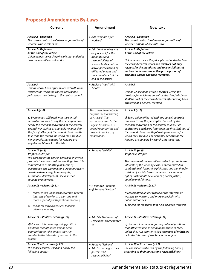### **Proposed Amendements By-Laws**

| <b>Current</b>                                                                                                                                                                                                                                                                                                                                                                                        | Amendment                                                                                                                                                                                                            | New text                                                                                                                                                                                                                                                                                                                                                                                          |
|-------------------------------------------------------------------------------------------------------------------------------------------------------------------------------------------------------------------------------------------------------------------------------------------------------------------------------------------------------------------------------------------------------|----------------------------------------------------------------------------------------------------------------------------------------------------------------------------------------------------------------------|---------------------------------------------------------------------------------------------------------------------------------------------------------------------------------------------------------------------------------------------------------------------------------------------------------------------------------------------------------------------------------------------------|
| Article 2 - Definition<br>The conseil central is a Québec organization of<br>workers whose role is to:                                                                                                                                                                                                                                                                                                | • Add "unions" after<br>workers'                                                                                                                                                                                     | Article 2 - Definition<br>The conseil central is a Quebec organization of<br>workers' <i>unions</i> whose role is to:                                                                                                                                                                                                                                                                             |
| <b>Article 2 - Definition</b><br>At the end of the article<br>Union democracy is the principle that underlies<br>how the conseil central works.                                                                                                                                                                                                                                                       | • Add "and involves not<br>only respect for the<br>mandates and<br>responsibilities of<br>various bodies but the<br>active participation of<br>affiliated unions and<br>their members." at the<br>end of the article | <b>Article 2 - Definition</b><br>At the end of the article<br>Union democracy is the principle that underlies how<br>the conseil central works and involves not only<br>respect for the mandates and responsibilities of<br>various bodies but the active participation of<br>affiliated unions and their members.                                                                                |
| Article 3<br>Unions whose head office is located within the<br>territory for which the conseil central has<br>jurisdiction may belong to the central council.                                                                                                                                                                                                                                         | • Replace "may" with<br>"shall"                                                                                                                                                                                      | Article 3<br>Unions whose head office is located within the<br>territory for which the conseil central has jurisdiction<br>shall be part of the conseil central after having been<br>affiliated at a general meeting.                                                                                                                                                                             |
| Article 5 (p. 6)<br>c) Every union affiliated with the conseil<br>central is required to pay the per capita dues<br>set by the triennial convention of the central<br>council. Per capitas are payable no later than<br>the first (1st) day of the second (2nd) month<br>following the month for which they are due.<br>For example, per capitas for January are<br>payable by March 1 at the latest. | This amendment affects<br>only the French wording<br>of Article 5. The<br>vocabulary used in the<br>English translation is<br>already appropriate and<br>does not require any<br>modification.                       | Article 5 (p. 6)<br>c) Every union affiliated with the conseil centralis<br>required to pay the per capita dues set by the<br>triennial convention of the central council. Per<br>capitas are payable no later than the first (1st) day of<br>the second (2nd) month following the month for<br>which they are due. For example, per capitas for<br>January are payable by March 1 at the latest. |
| Article 12 (p. 9)<br>1 <sup>re</sup> phrase, 2 <sup>nd</sup> par.<br>The purpose of the conseil central is chiefly to<br>promote the interests of the working class. It is<br>committed to combatting all forms of<br>exploitation and working for a vision of society<br>based on democracy, human rights,<br>sustainable development, social justice,<br>equality and fairness.                     | • Remove "chiefly"                                                                                                                                                                                                   | Article 12 (p. 9)<br>1 <sup>st</sup> phrase, 2 <sup>nd</sup> par.<br>The purpose of the conseil central is to promote the<br>interests of the working class. It is committed to<br>combatting all forms of exploitation and working for<br>a vision of society based on democracy, human<br>rights, sustainable development, social justice,<br>equality and fairness.                            |
| Article 13 - Means (p.11)<br>representing unions wherever the general<br>f)<br>interests of workers so warrant, and<br>more especially with public authorities;<br>calling for certain measures that help<br>g)<br>advance workers;                                                                                                                                                                   | • f) Remove "general"<br>• g) Remove "certain"                                                                                                                                                                       | Article 13 - Means (p.11)<br>f) representing unions wherever the interests of<br>workers so warrant, and more especially with<br>public authorities;<br>g) calling for measures that help advance workers;                                                                                                                                                                                        |
| Article 14 - Political action (p. 12)<br>d) does not intervene regarding political<br>positions that affiliated unions deem<br>appropriate to take, unless they run<br>counter to the interests of workers in the<br>region;                                                                                                                                                                          | • Add "its Statement of<br>Principles" after counter<br>to                                                                                                                                                           | Article 14 - Political action (p. 12)<br>d) does not intervene regarding political positions<br>that affiliated unions deem appropriate to take,<br>unless they run counter to its Statement of Principles<br>or to the interests of workers in the region;                                                                                                                                       |
| Article 15 - Structures (p.12)<br>The conseil central is led and run by the<br>following bodies:                                                                                                                                                                                                                                                                                                      | • Remove "led and"<br>• Add "according to their<br>powers and<br>responsibilities:"                                                                                                                                  | Article 15 - Structures (p.12)<br>The conseil central is run by the following bodies,<br>according to their powers and responsibilities:                                                                                                                                                                                                                                                          |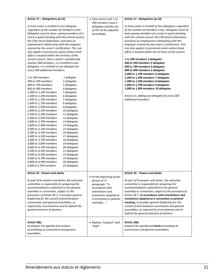| Article 17 - Delegations (p.14)                              |              | • That unions with 1 to    | Article 17 - Delegations (p.14)                         |
|--------------------------------------------------------------|--------------|----------------------------|---------------------------------------------------------|
|                                                              |              | 399 members have 2         |                                                         |
| a) Each union is entitled to one delegate,                   |              | delegates and the rest     | a) Every union is entitled to two delegates, regardless |
| regardless of the number of members it has.                  |              | of the list be adjusted    | of the number of members it has. Delegates must be      |
| Delegates must be dues- paying members of a                  |              | accordingly.               | dues-paying members of a union in good standing         |
| union in good standing with the central council,             |              |                            | with the central council, the CSN and its federation,   |
| the CSN and its federation, and have an                      |              |                            | and have an employment relationship with the            |
| employment relationship with the employer                    |              |                            | employer covered by the union's certification. This     |
| covered by the union's certification. This rule              |              |                            | rule also applies to provincial unions whose head       |
| also applies to provincial unions whose head                 |              |                            | office is located within the territory of the council.  |
| office is located within the territory of the                |              |                            |                                                         |
| central council. Once a union's membership                   |              |                            | 1 to 399 members 2 delegates                            |
| reaches 400 members, it is entitled to two                   |              |                            | 400 to 599 members 3 delegates                          |
| delegates. It is entitled to one delegate for                |              |                            | 600 to 799 members 4 delegates                          |
| every 200 additional members.                                |              |                            | 800 to 999 members 5 delegates                          |
|                                                              |              |                            | 1,000 to 1,199 members 6 delegates                      |
| 1 to 399 members                                             | 1 delegate   |                            | 1,200 to 1,399 members 7 delegates                      |
| 400 to 599 members                                           | 2 delegates  |                            | 1,400 to 1,599 members 8 delegates                      |
| 600 to 799 members                                           | 3 delegates  |                            | 1,600 to 1,799 members 9 delegates                      |
| 800 to 999 members                                           | 4 delegates  |                            | 1,800 to 1,999 members 10 delegates                     |
| 1,000 to 1,199 members                                       | 5 delegates  |                            |                                                         |
| 1,200 to 1,399 members                                       | 6 delegates  |                            | And so on, adding one delegate for every 200            |
| 1,400 to 1,599 members                                       | 7 delegates  |                            | additional members.                                     |
| 1,600 to 1,799 members                                       | 8 delegates  |                            |                                                         |
| 1,800 to 1,999 members                                       | 9 delegates  |                            |                                                         |
| 2,000 to 2,199 members                                       | 10 delegates |                            |                                                         |
| 2,200 to 2,399 members                                       | 11 delegates |                            |                                                         |
| 2,400 to 2,599 members                                       | 12 delegates |                            |                                                         |
| 2,600 to 2,799 members                                       | 13 delegates |                            |                                                         |
| 2,800 to 2,999 members                                       | 14 delegates |                            |                                                         |
| 3,000 to 3,199 members                                       | 15 delegates |                            |                                                         |
| 3,200 to 3,399 members                                       | 16 delegates |                            |                                                         |
| 3,400 to 3,599 members                                       | 17 delegates |                            |                                                         |
| 3,600 to 3,799 members                                       | 18 delegates |                            |                                                         |
| 3,800 to 3,999 members                                       | 19 delegates |                            |                                                         |
| 4,000 to 4,199 members                                       | 20 delegates |                            |                                                         |
| 4,200 to 4,399 members                                       | 21 delegates |                            |                                                         |
| 4,400 to 4,599 members                                       | 22 delegates |                            |                                                         |
| 4,600 to 4,799 members                                       | 23 delegates |                            |                                                         |
| 4,800 to 4,999 members                                       | 24 delegates |                            |                                                         |
| 5,000 à 5,199 members                                        | 25 delegates |                            |                                                         |
| <b>Article 35 - Powers and duties</b>                        |              |                            | Article 35 – Powers and duties                          |
|                                                              |              | • At the beginning of last |                                                         |
| As part of its powers and duties, the executive              |              | phrase of 1st              | As part of its powers and duties, the executive         |
| committee is responsible for preparing the                   |              | paragraph: "In             | committee is responsible for preparing the              |
| recommendations submitted to the general                     |              | accordance with            | recommendations submitted to the general                |
| assembly or convention, subject to the                       |              | orientations and           | assembly or convention, subject to the provisions of    |
| provisions of Article 38 <sup>e</sup> ). It provides general |              | resolutions adopted at     | Article 38 $e$ ). In accordance with orientations and   |
| leadership for the conseil central between                   |              | a convention or general    | resolutions adopted at a convention or general          |
| conventions and general assemblies, as                       |              | assembly,"                 | meeting, it provides general leadership for the         |
| required by circumstances and to defend the                  |              |                            | conseil central between conventions and general         |
| general interests of workers.                                |              |                            | assemblies, as required by circumstances and to         |
|                                                              |              |                            | defend the general interests of workers.                |
|                                                              |              |                            |                                                         |
| Article 35b)                                                 |              | • Replace "conduct" with   | Article 35b)                                            |
| b) prepare the agenda and conduct                            |              | "lead"                     | prepare the agenda and lead proceedings at              |
| proceedings at conventions and general                       |              |                            | conventions and general assemblies;                     |
| assemblies;                                                  |              |                            |                                                         |
|                                                              |              |                            |                                                         |

*assembly; it may, in accordance with that procedure,*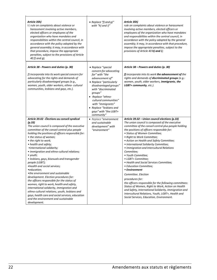| Article 35h)<br>h) rule on complaints about violence or<br>harassment involving active members,<br>elected officers or employees of the<br>organization who have mandates and<br>responsibilities within the central council, in<br>accordance with the policy adopted by the<br>general assembly; it may, in accordance with<br>that procedure, impose the appropriate<br>penalties, subject to the provisions of Article<br>40 f) and g);                                                                                                                                                                                                                                                                                                                                                                                                                                                  | • Replace "f) and $g$ )"<br>with "h) and i)"                                                                                                                                                                                                                                                                 | Article 35h)<br>rule on complaints about violence or harassment<br>involving active members, elected officers or<br>employees of the organization who have mandates<br>and responsibilities within the central council, in<br>accordance with the policy adopted by the general<br>assembly; it may, in accordance with that procedure,<br>impose the appropriate penalties, subject to the<br>provisions of Article 40 h) and i);                                                                                                                                                                                                                                                                                                                                                                                                                                       |
|----------------------------------------------------------------------------------------------------------------------------------------------------------------------------------------------------------------------------------------------------------------------------------------------------------------------------------------------------------------------------------------------------------------------------------------------------------------------------------------------------------------------------------------------------------------------------------------------------------------------------------------------------------------------------------------------------------------------------------------------------------------------------------------------------------------------------------------------------------------------------------------------|--------------------------------------------------------------------------------------------------------------------------------------------------------------------------------------------------------------------------------------------------------------------------------------------------------------|--------------------------------------------------------------------------------------------------------------------------------------------------------------------------------------------------------------------------------------------------------------------------------------------------------------------------------------------------------------------------------------------------------------------------------------------------------------------------------------------------------------------------------------------------------------------------------------------------------------------------------------------------------------------------------------------------------------------------------------------------------------------------------------------------------------------------------------------------------------------------|
| Article 38 - Powers and duties (p. 30)<br>f) incorporate into its work special concern for<br>advocating for the rights and demands of<br>particularly disadvantaged groups (e.g.,<br>women, youth, older workers, ethno- cultural<br>communities, lesbians and gays, etc.).                                                                                                                                                                                                                                                                                                                                                                                                                                                                                                                                                                                                                 | • Replace "special<br>concern for advocating<br>for" with "the<br>advancement of"<br>• Replace "particularly<br>disadvantaged groups"<br>with "discriminated<br>groups"<br>• Replace "ethno-<br>cultural communities"<br>with "immigrants"<br>• Replace "lesbians and<br>gays" with "the LGBT+<br>community" | Article 38 – Powers and duties (p. 30)<br>f) incorporate into its work the advancement of the<br>rights and demands of discriminated groups (e.g.:<br>women, youth, older workers, immigrants, the<br>LGBT+ community, etc.).                                                                                                                                                                                                                                                                                                                                                                                                                                                                                                                                                                                                                                            |
| Article 39.02 - Élections au conseil syndical<br>(p.33)<br>The union council is composed of the executive<br>committee of the conseil central plus people<br>holding the positions of officers responsible for:<br>• the status of women;<br>• the right to work;<br>• health and safety;<br>• international solidarity;<br>• immigration and ethno-cultural relations;<br>$\bullet$ youth;<br>• lesbians, gays, bisexuals and transgender<br>people (LGBT);<br>•health and social services;<br>•education;<br>• the environment and sustainable<br>development. Election procedures for:<br>the officers responsible for the status of<br>women, right to work, health and safety,<br>international solidarity, immigration and<br>ethno-cultural relations, youth, lesbians and<br>gays, health care and social services, education<br>and the environment and sustainable<br>development. | • Replace "environment<br>and sustainable<br>development" with<br>"environment"                                                                                                                                                                                                                              | Article 39.02 - Union council elections (p.33)<br>The union council is composed of the executive<br>committee of the conseil central plus people holding<br>the positions of officers responsible for:<br>• Status of Women Committee;<br>• Right to Work Committee;<br>• Action on Health and Safety Committee;<br>• International Solidarity Committee;<br>• Immigration and Intercultural Relations<br>Committee;<br>• Youth Committee;<br>• LGBT+ Committee;<br>• Health and Social Services Committee;<br>• Education Committee;<br>• Environment<br>Committee. Election<br>procedures for:<br>the officers responsible for the following committees:<br>Status of Women, Right to Work, Action on Health<br>and Safety, International Solidarity, Immigration and<br>Intercultural Relations, Youth, LGBT+, Health and<br>Social Services, Education, Environment. |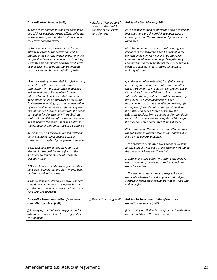| Article 40 - Nominations (p.36)<br>a) The people entitled to stand for election to<br>one of these positions are the official delegates<br>whose names appear on the list drawn up by<br>the credentials committee.<br><b>b)</b> To be nominated, a person must be an<br>official delegate to the convention and be<br>present in the convention hall unless he or she<br>has previously accepted nomination in writing.<br>Delegates may nominate as many candidates<br>as they wish, but to be elected, a candidate<br>must receive an absolute majority of votes.                                                                                                                                                                                                                                                                                                                                                                                                                                                                                                                                                                                                                                                                                                      | • Replace "Nominations"<br>with "candidacies" in<br>the title of the article<br>and the text. | Article 40 - Candidacies (p.36)<br>a) The people entitled to stand for election to one of<br>these positions are the official delegates whose<br>names appear on the list drawn up by the credentials<br>committee.<br>b) To be nominated, a person must be an official<br>delegate to the convention and be present in the<br>convention hall unless he or she has previously<br>accepted candidacies in writing. Delegates may<br>nominate as many candidates as they wish, but to be<br>elected, a candidate must receive an absolute<br>majority of votes.                                                                                                                                                                                                                                                                                                                                                                                                                                                                                                                                                                                                                                                                                                     |
|---------------------------------------------------------------------------------------------------------------------------------------------------------------------------------------------------------------------------------------------------------------------------------------------------------------------------------------------------------------------------------------------------------------------------------------------------------------------------------------------------------------------------------------------------------------------------------------------------------------------------------------------------------------------------------------------------------------------------------------------------------------------------------------------------------------------------------------------------------------------------------------------------------------------------------------------------------------------------------------------------------------------------------------------------------------------------------------------------------------------------------------------------------------------------------------------------------------------------------------------------------------------------|-----------------------------------------------------------------------------------------------|--------------------------------------------------------------------------------------------------------------------------------------------------------------------------------------------------------------------------------------------------------------------------------------------------------------------------------------------------------------------------------------------------------------------------------------------------------------------------------------------------------------------------------------------------------------------------------------------------------------------------------------------------------------------------------------------------------------------------------------------------------------------------------------------------------------------------------------------------------------------------------------------------------------------------------------------------------------------------------------------------------------------------------------------------------------------------------------------------------------------------------------------------------------------------------------------------------------------------------------------------------------------|
| c) In the event of an extended, justified leave of<br>a member of the union council who is a<br>committee chair, the committee in question<br>will appoint one of its members from an<br>affiliated union to act as a substitute. This<br>appointment must be approved by the CCMM-<br>CSN general assembly, upon recommendation<br>by the executive committee, after having been<br>formally put on the agenda sent with the notice<br>of meeting for the assembly. The substitute<br>shall perform all duties of the committee chair<br>and shall have the same rights and duties for<br>the duration of the committee chair's absence.<br>d) If a position on the executive committee or<br>union council becomes vacant between<br>conventions, it is filled by the general assembly.<br>1. The executive committee gives notice of<br>election for the position to be filled at the<br>assembly preceding the one at which the<br>election is held.<br>2. Once all the candidates for a given position<br>have been nominated, the election president<br>declares nominations closed.<br>3. The election president must always ask each<br>candidate whether he or she agrees to stand<br>for election; a candidate may withdraw at any<br>time until voting begins. |                                                                                               | c) In the event of an extended, justified leave of a<br>member of the union council who is a committee<br>chair, the committee in question will appoint one of<br>its members from an affiliated union to act as a<br>substitute. This appointment must be approved by<br>the CCMM-CSN general assembly, upon<br>recommendation by the executive committee, after<br>having been formally put on the agenda sent with<br>the notice of meeting for the assembly. The<br>substitute shall perform all duties of the committee<br>chair and shall have the same rights and duties for<br>the duration of the committee chair's absence.<br>d) If a position on the executive committee or union<br>council becomes vacant between conventions, it is<br>filled by the general assembly.<br>1. The executive committee gives notice of election<br>for the position to be filled at the assembly preceding<br>the one at which the election is held.<br>2. Once all the candidates for a given position have<br>been nominated, the election president declares<br>candidacies closed.<br>3. The election president must always ask each<br>candidate whether he or she agrees to stand for<br>election; a candidate may withdraw at any time until<br>voting begins. |
| Article 43 - Powers and duties of executive<br>committee members (p.42)<br>$f$ ) In carrying out their role, they pay special<br>attention to issues related to ecology and the<br>environment.                                                                                                                                                                                                                                                                                                                                                                                                                                                                                                                                                                                                                                                                                                                                                                                                                                                                                                                                                                                                                                                                           | f) Delete "to ecology and"                                                                    | Article 43 - Powers and duties of executive<br>committee members (p.42)<br>f) In carrying out their role, they pay special attention<br>to issues related to the environment.                                                                                                                                                                                                                                                                                                                                                                                                                                                                                                                                                                                                                                                                                                                                                                                                                                                                                                                                                                                                                                                                                      |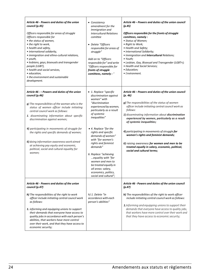| Article 46 - Powers and duties of the union<br>council (p.45)<br>Officers responsible for areas of struggle<br>Officers responsible for<br>• the status of women,<br>• the right to work,<br>• health and safety,<br>• international solidarity,<br>• immigration and ethno-cultural relations,<br>$\bullet$ youth,<br>· lesbians, gays, bisexuals and transgender<br>people (LGBT),<br>• health and social services,<br>• education,<br>• the environment and sustainable<br>development.                                           | • Consistency<br>amendment for the<br>Immigration and<br><b>Intercultural Relations</b><br>comittee<br>• Delete "Officers<br>responsible for areas of<br>struggle"<br>Add on to "Officers<br>responsible for" and write<br>"Officers responsible for<br>fronts of struggle<br>comittees, namely : "                                                                                                                                                                     | Article 46 - Powers and duties of the union council<br>(p.45)<br>Officers responsible for the fronts of struggle<br>comittees, namely:<br>• Status of Women;<br>• Right to Work;<br>• Health and Safety;<br>• International Solidarity;<br>. Immigration and Intercultural Relations;<br>• Youth;<br>• Lesbian, Gay, Bisexual and Transgender (LGBT+);<br>• Health and Social Services;<br>• Education;<br>• Environment.                                                                                                                        |
|--------------------------------------------------------------------------------------------------------------------------------------------------------------------------------------------------------------------------------------------------------------------------------------------------------------------------------------------------------------------------------------------------------------------------------------------------------------------------------------------------------------------------------------|-------------------------------------------------------------------------------------------------------------------------------------------------------------------------------------------------------------------------------------------------------------------------------------------------------------------------------------------------------------------------------------------------------------------------------------------------------------------------|--------------------------------------------------------------------------------------------------------------------------------------------------------------------------------------------------------------------------------------------------------------------------------------------------------------------------------------------------------------------------------------------------------------------------------------------------------------------------------------------------------------------------------------------------|
| Article 46 - - Powers and duties of the union<br>council (p.46)<br>$g$ ) The responsibilities of the woman who is the<br>status of women officer include initiating<br>central council work as follows:<br>1. disseminating information about specific<br>discrimination against women;<br>4) participating in movements of struggle for<br>the rights and specific demands of women;<br>6) doing information-awareness work aimed<br>at achieving pay equity and economic,<br>political, social and cultural equality for<br>women; | • 1. Replace "specific<br>discrimination against<br>women" with<br>"discrimination<br>experienced by women,<br>particularly as a result<br>of systemic<br>inequalities"<br>• 4. Replace "for the<br>rights and specific<br>demands of women"<br>with "for women's<br>rights and feminist<br>demands"<br>6. Replace "achieving<br>equality with "for<br>women and men to<br>be treated equally in<br>all areas: salary,<br>economics, politics,<br>social and cultural"; | Article 46 - Powers and duties of the union council<br>(p. 46)<br>g) The responsibilities of the status of women<br>officer include initiating central council work as<br>follows:<br>1) disseminating information about discrimination<br>experienced by women, particularly as a result<br>of systemic inequalities;<br>4) participating in movements of struggle for<br>women's rights and feminist demands;<br>6) raising awareness for women and men to be<br>treated equally in salary, economic, political,<br>social and cultural terms; |
| Article 46 - Powers and duties of the union<br>council (p.47)<br>h) The responsibilities of the right to work<br>officer include initiating central council work<br>as follows:<br>1. informing and equipping unions to support<br>their demands that everyone have access to<br>quality jobs in accordance with each person's<br>abilities, that workers have more control<br>over their work, and that they have access to<br>economic security;                                                                                   | h) 1. Delete "in<br>accordance with each<br>person's abilities"                                                                                                                                                                                                                                                                                                                                                                                                         | Article 46 - Powers and duties of the union council<br>(p.47)<br>h) The responsibilities of the right to work officer<br>include initiating central council work as follows:<br>1. Informing and equipping unions to support their<br>demands that everyone have access to quality jobs,<br>that workers have more control over their work and<br>that they have access to economic security;                                                                                                                                                    |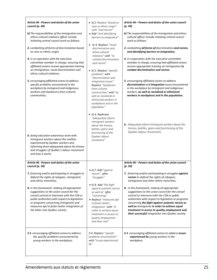| Article 46 - Powers and duties of the union<br>council (p. 49)<br>k) The responsibilities of the immigration and<br>ethno-cultural relations officer include<br>initiating central council work as follows:<br>2. combatting all forms of discrimination based<br>on race or ethnic origin;<br>4. in co-operation with the executive<br>committee member in charge, ensuring that<br>affiliated unions receive appropriate training<br>on immigration, racial discrimination and<br>ethno-cultural relations;<br>5. encouraging affiliated unions to address<br>specific problems encountered in the<br>workplace by immigrant and indigenous<br>workers and Quebecers from cultural<br>communities; | • k) 2. Replace "based on<br>race or ethnic origin"<br>with "and racism"<br>· Add "and identifying<br>barriers to integration"<br>• $k$ ) 4. Replace "racial<br>discrimination and<br>ethno-cultural<br>relations" with "to<br>combat discrimination<br>and racism"<br>• $k$ ) 5. Replace "specific<br>problems" with<br>"discrimination and<br>integration issues"<br>Replace "Quebecers<br>from cultural<br>communities" with "as<br>well as racialized or<br>ethnicized workers in<br>workplaces and in the<br>population" | Article 46 - Powers and duties of the union council<br>(p. 49)<br>k) The responsibilities of the immigration and ethno-<br>cultural officer include initiating central council<br>work as follows:<br>2. combatting all forms of discrimination and racism,<br>and identifying barriers to integration;<br>4. in cooperation with the executive committee<br>member in charge, ensuring that affiliated unions<br>receive appropriate training on immigration to<br>combat discrimination and racism;<br>5. encouraging affiliated unions to address<br>discrimination and integration issues encountered<br>in the workplace by immigrant and indigenous<br>workers, as well as racialized or ethnicized<br>workers in workplaces and in the population; |
|------------------------------------------------------------------------------------------------------------------------------------------------------------------------------------------------------------------------------------------------------------------------------------------------------------------------------------------------------------------------------------------------------------------------------------------------------------------------------------------------------------------------------------------------------------------------------------------------------------------------------------------------------------------------------------------------------|-------------------------------------------------------------------------------------------------------------------------------------------------------------------------------------------------------------------------------------------------------------------------------------------------------------------------------------------------------------------------------------------------------------------------------------------------------------------------------------------------------------------------------|-----------------------------------------------------------------------------------------------------------------------------------------------------------------------------------------------------------------------------------------------------------------------------------------------------------------------------------------------------------------------------------------------------------------------------------------------------------------------------------------------------------------------------------------------------------------------------------------------------------------------------------------------------------------------------------------------------------------------------------------------------------|
| 6. doing education-awareness work with<br>immigrant workers about the realities<br>experienced by Québec workers and<br>informing them adequately about the history<br>and struggles of Québec's labour movement<br>and how it works                                                                                                                                                                                                                                                                                                                                                                                                                                                                 | $\bullet$ k) 6. Rephrase<br>"Adequately inform<br>immigrant workers<br>about the history,<br>battles, gains and<br>functioning of the<br>Quebec labour<br>movement"                                                                                                                                                                                                                                                                                                                                                           | 6. Adequately inform immigrant workers about the<br>history, battles, gains and functioning of the<br>Quebec labour movement;                                                                                                                                                                                                                                                                                                                                                                                                                                                                                                                                                                                                                             |
| Article 46 - Powers and duties of the union<br>council (p. 50)                                                                                                                                                                                                                                                                                                                                                                                                                                                                                                                                                                                                                                       |                                                                                                                                                                                                                                                                                                                                                                                                                                                                                                                               | Article 46 - Powers and duties of the union council<br>(p. 50)                                                                                                                                                                                                                                                                                                                                                                                                                                                                                                                                                                                                                                                                                            |
| 7. fostering and/or participating in struggles to<br>defend the rights of refugees, immigrants<br>and ethnic minorities;<br>8. in this framework, making all appropriate<br>suggestions to the union council for the<br>conseil central to intervene with the CSN or<br>public authorities with respect to legislation<br>or programs concerning immigrants and<br>measures apt to foster better integration of<br>the latter into Québec society.                                                                                                                                                                                                                                                   | • $k$ ) 7. Add "against"<br>racism" after<br>"struggles"<br>• $k$ ) 8. Add "the fight<br>against systemic racism<br>as well as" after<br>"concerning"<br>• Replace "measures apt<br>to foster better<br>integration" with "in<br>order to achieve equal<br>treatment in access to<br>quality employment<br>and their real"                                                                                                                                                                                                    | 7. fostering and/or participating in struggles against<br>racism to defend the rights of refugees,<br>immigrants and other ethnic minorities;<br>8. in this framework, making all appropriate<br>suggestions to the union council for the conseil<br>central to intervene with the CSN or public<br>authorities with respect to legislation or programs<br>concerning the fight against systemic racism as<br>well as immigrants in order to achieve equal<br>treatment in access to quality employment and<br>their successful integration into Quebec society.                                                                                                                                                                                          |
| I) 4. encouraging affiliated unions to address<br>the specific problems encountered by<br>young workers in the workplace;                                                                                                                                                                                                                                                                                                                                                                                                                                                                                                                                                                            | I) 4. Replace "specific<br>problems encountered"<br>with "issues experienced<br>by"                                                                                                                                                                                                                                                                                                                                                                                                                                           | I) 4. encouraging affiliated unions to address issues<br>experienced by young workers in the<br>workplace;                                                                                                                                                                                                                                                                                                                                                                                                                                                                                                                                                                                                                                                |

*(p. 53)*